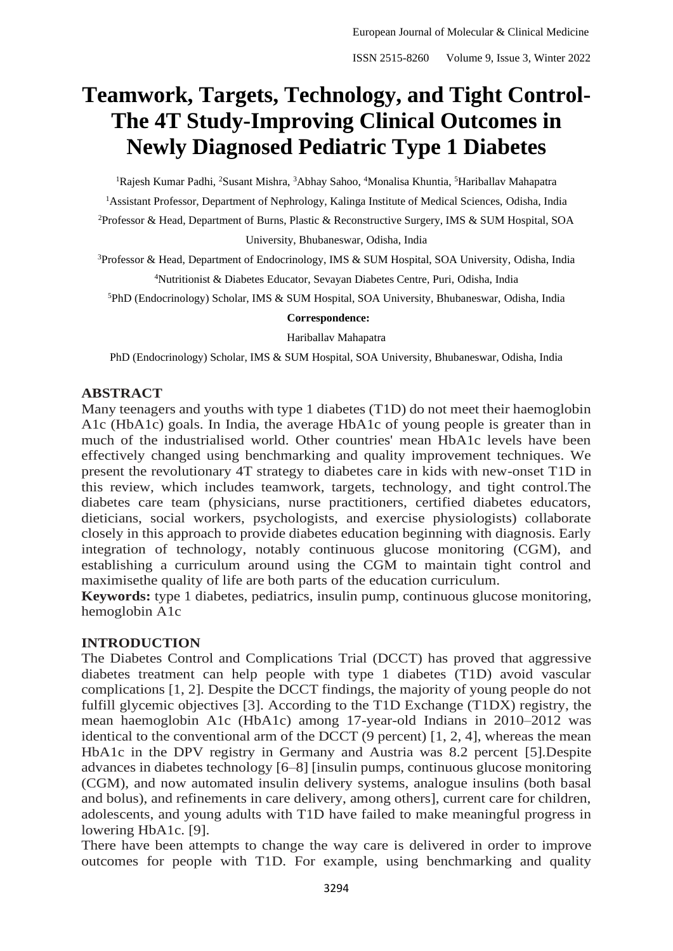# **Teamwork, Targets, Technology, and Tight Control-The 4T Study-Improving Clinical Outcomes in Newly Diagnosed Pediatric Type 1 Diabetes**

<sup>1</sup>Rajesh Kumar Padhi, <sup>2</sup>Susant Mishra, <sup>3</sup>Abhay Sahoo, <sup>4</sup>Monalisa Khuntia, <sup>5</sup>Hariballav Mahapatra <sup>1</sup> Assistant Professor, Department of Nephrology, Kalinga Institute of Medical Sciences, Odisha, India <sup>2</sup>Professor & Head, Department of Burns, Plastic & Reconstructive Surgery, IMS & SUM Hospital, SOA University, Bhubaneswar, Odisha, India

<sup>3</sup>Professor & Head, Department of Endocrinology, IMS & SUM Hospital, SOA University, Odisha, India <sup>4</sup>Nutritionist & Diabetes Educator, Sevayan Diabetes Centre, Puri, Odisha, India

<sup>5</sup>PhD (Endocrinology) Scholar, IMS & SUM Hospital, SOA University, Bhubaneswar, Odisha, India

#### **Correspondence:**

Hariballav Mahapatra

PhD (Endocrinology) Scholar, IMS & SUM Hospital, SOA University, Bhubaneswar, Odisha, India

## **ABSTRACT**

Many teenagers and youths with type 1 diabetes (T1D) do not meet their haemoglobin A1c (HbA1c) goals. In India, the average HbA1c of young people is greater than in much of the industrialised world. Other countries' mean HbA1c levels have been effectively changed using benchmarking and quality improvement techniques. We present the revolutionary 4T strategy to diabetes care in kids with new-onset T1D in this review, which includes teamwork, targets, technology, and tight control.The diabetes care team (physicians, nurse practitioners, certified diabetes educators, dieticians, social workers, psychologists, and exercise physiologists) collaborate closely in this approach to provide diabetes education beginning with diagnosis. Early integration of technology, notably continuous glucose monitoring (CGM), and establishing a curriculum around using the CGM to maintain tight control and maximisethe quality of life are both parts of the education curriculum.

**Keywords:** type 1 diabetes, pediatrics, insulin pump, continuous glucose monitoring, hemoglobin A1c

## **INTRODUCTION**

The Diabetes Control and Complications Trial (DCCT) has proved that aggressive diabetes treatment can help people with type 1 diabetes (T1D) avoid vascular complications [1, 2]. Despite the DCCT findings, the majority of young people do not fulfill glycemic objectives [3]. According to the T1D Exchange (T1DX) registry, the mean haemoglobin A1c (HbA1c) among 17-year-old Indians in 2010–2012 was identical to the conventional arm of the DCCT (9 percent) [1, 2, 4], whereas the mean HbA1c in the DPV registry in Germany and Austria was 8.2 percent [5].Despite advances in diabetes technology [6–8] [insulin pumps, continuous glucose monitoring (CGM), and now automated insulin delivery systems, analogue insulins (both basal and bolus), and refinements in care delivery, among others], current care for children, adolescents, and young adults with T1D have failed to make meaningful progress in lowering HbA1c. [9].

There have been attempts to change the way care is delivered in order to improve outcomes for people with T1D. For example, using benchmarking and quality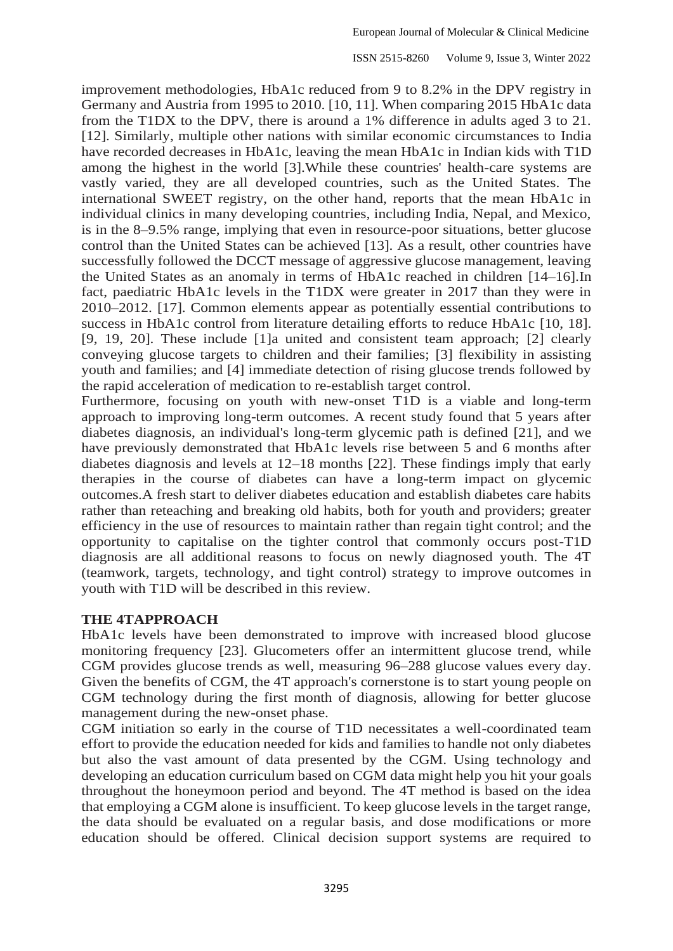improvement methodologies, HbA1c reduced from 9 to 8.2% in the DPV registry in Germany and Austria from 1995 to 2010. [10, 11]. When comparing 2015 HbA1c data from the T1DX to the DPV, there is around a 1% difference in adults aged 3 to 21. [12]. Similarly, multiple other nations with similar economic circumstances to India have recorded decreases in HbA1c, leaving the mean HbA1c in Indian kids with T1D among the highest in the world [3].While these countries' health-care systems are vastly varied, they are all developed countries, such as the United States. The international SWEET registry, on the other hand, reports that the mean HbA1c in individual clinics in many developing countries, including India, Nepal, and Mexico, is in the 8–9.5% range, implying that even in resource-poor situations, better glucose control than the United States can be achieved [13]. As a result, other countries have successfully followed the DCCT message of aggressive glucose management, leaving the United States as an anomaly in terms of HbA1c reached in children [14–16].In fact, paediatric HbA1c levels in the T1DX were greater in 2017 than they were in 2010–2012. [17]. Common elements appear as potentially essential contributions to success in HbA1c control from literature detailing efforts to reduce HbA1c [10, 18]. [9, 19, 20]. These include [1]a united and consistent team approach; [2] clearly conveying glucose targets to children and their families; [3] flexibility in assisting youth and families; and [4] immediate detection of rising glucose trends followed by the rapid acceleration of medication to re-establish target control.

Furthermore, focusing on youth with new-onset T1D is a viable and long-term approach to improving long-term outcomes. A recent study found that 5 years after diabetes diagnosis, an individual's long-term glycemic path is defined [21], and we have previously demonstrated that HbA1c levels rise between 5 and 6 months after diabetes diagnosis and levels at 12–18 months [22]. These findings imply that early therapies in the course of diabetes can have a long-term impact on glycemic outcomes.A fresh start to deliver diabetes education and establish diabetes care habits rather than reteaching and breaking old habits, both for youth and providers; greater efficiency in the use of resources to maintain rather than regain tight control; and the opportunity to capitalise on the tighter control that commonly occurs post-T1D diagnosis are all additional reasons to focus on newly diagnosed youth. The 4T (teamwork, targets, technology, and tight control) strategy to improve outcomes in youth with T1D will be described in this review.

### **THE 4TAPPROACH**

HbA1c levels have been demonstrated to improve with increased blood glucose monitoring frequency [23]. Glucometers offer an intermittent glucose trend, while CGM provides glucose trends as well, measuring 96–288 glucose values every day. Given the benefits of CGM, the 4T approach's cornerstone is to start young people on CGM technology during the first month of diagnosis, allowing for better glucose management during the new-onset phase.

CGM initiation so early in the course of T1D necessitates a well-coordinated team effort to provide the education needed for kids and families to handle not only diabetes but also the vast amount of data presented by the CGM. Using technology and developing an education curriculum based on CGM data might help you hit your goals throughout the honeymoon period and beyond. The 4T method is based on the idea that employing a CGM alone is insufficient. To keep glucose levels in the target range, the data should be evaluated on a regular basis, and dose modifications or more education should be offered. Clinical decision support systems are required to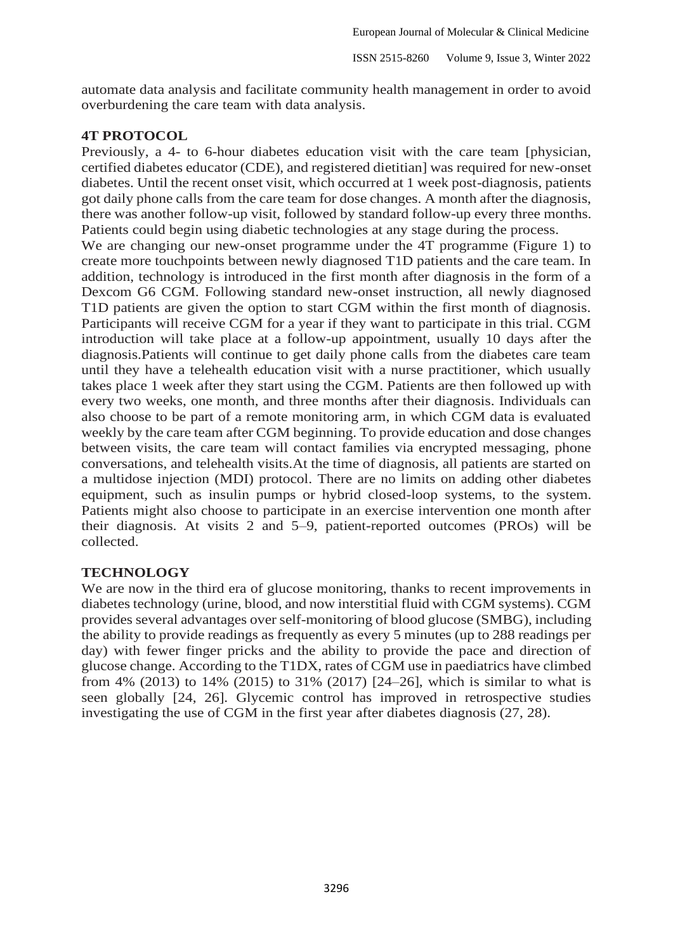automate data analysis and facilitate community health management in order to avoid overburdening the care team with data analysis.

## **4T PROTOCOL**

Previously, a 4- to 6-hour diabetes education visit with the care team [physician, certified diabetes educator (CDE), and registered dietitian] was required for new-onset diabetes. Until the recent onset visit, which occurred at 1 week post-diagnosis, patients got daily phone calls from the care team for dose changes. A month after the diagnosis, there was another follow-up visit, followed by standard follow-up every three months. Patients could begin using diabetic technologies at any stage during the process.

We are changing our new-onset programme under the 4T programme (Figure 1) to create more touchpoints between newly diagnosed T1D patients and the care team. In addition, technology is introduced in the first month after diagnosis in the form of a Dexcom G6 CGM. Following standard new-onset instruction, all newly diagnosed T1D patients are given the option to start CGM within the first month of diagnosis. Participants will receive CGM for a year if they want to participate in this trial. CGM introduction will take place at a follow-up appointment, usually 10 days after the diagnosis.Patients will continue to get daily phone calls from the diabetes care team until they have a telehealth education visit with a nurse practitioner, which usually takes place 1 week after they start using the CGM. Patients are then followed up with every two weeks, one month, and three months after their diagnosis. Individuals can also choose to be part of a remote monitoring arm, in which CGM data is evaluated weekly by the care team after CGM beginning. To provide education and dose changes between visits, the care team will contact families via encrypted messaging, phone conversations, and telehealth visits.At the time of diagnosis, all patients are started on a multidose injection (MDI) protocol. There are no limits on adding other diabetes equipment, such as insulin pumps or hybrid closed-loop systems, to the system. Patients might also choose to participate in an exercise intervention one month after their diagnosis. At visits 2 and 5–9, patient-reported outcomes (PROs) will be collected.

### **TECHNOLOGY**

We are now in the third era of glucose monitoring, thanks to recent improvements in diabetes technology (urine, blood, and now interstitial fluid with CGM systems). CGM provides several advantages over self-monitoring of blood glucose (SMBG), including the ability to provide readings as frequently as every 5 minutes (up to 288 readings per day) with fewer finger pricks and the ability to provide the pace and direction of glucose change. According to the T1DX, rates of CGM use in paediatrics have climbed from 4% (2013) to 14% (2015) to 31% (2017) [24–26], which is similar to what is seen globally [24, 26]. Glycemic control has improved in retrospective studies investigating the use of CGM in the first year after diabetes diagnosis (27, 28).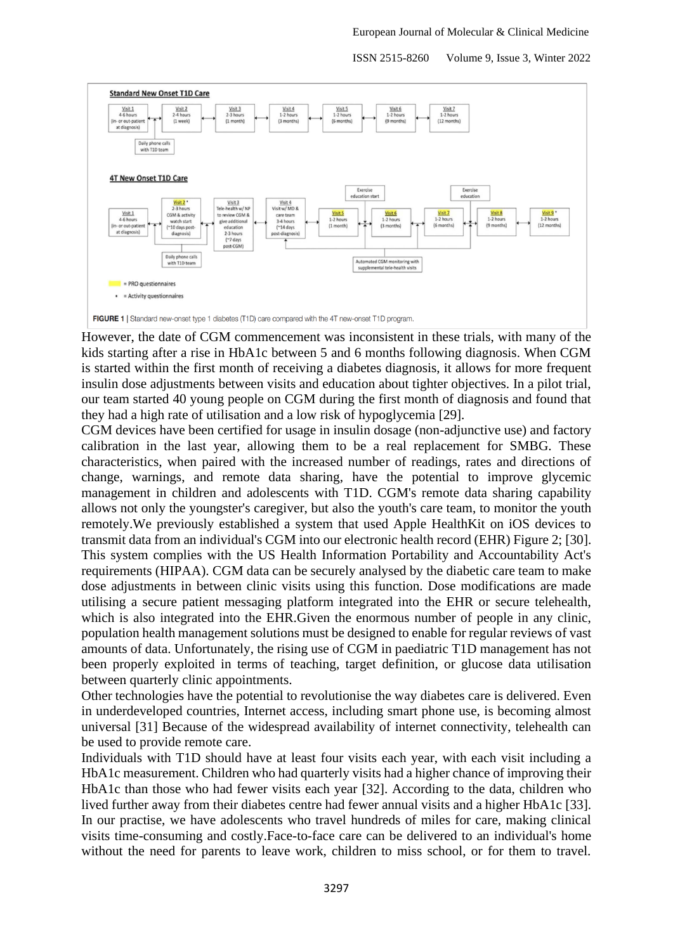

However, the date of CGM commencement was inconsistent in these trials, with many of the kids starting after a rise in HbA1c between 5 and 6 months following diagnosis. When CGM is started within the first month of receiving a diabetes diagnosis, it allows for more frequent insulin dose adjustments between visits and education about tighter objectives. In a pilot trial, our team started 40 young people on CGM during the first month of diagnosis and found that they had a high rate of utilisation and a low risk of hypoglycemia [29].

CGM devices have been certified for usage in insulin dosage (non-adjunctive use) and factory calibration in the last year, allowing them to be a real replacement for SMBG. These characteristics, when paired with the increased number of readings, rates and directions of change, warnings, and remote data sharing, have the potential to improve glycemic management in children and adolescents with T1D. CGM's remote data sharing capability allows not only the youngster's caregiver, but also the youth's care team, to monitor the youth remotely.We previously established a system that used Apple HealthKit on iOS devices to transmit data from an individual's CGM into our electronic health record (EHR) Figure 2; [30]. This system complies with the US Health Information Portability and Accountability Act's requirements (HIPAA). CGM data can be securely analysed by the diabetic care team to make dose adjustments in between clinic visits using this function. Dose modifications are made utilising a secure patient messaging platform integrated into the EHR or secure telehealth, which is also integrated into the EHR.Given the enormous number of people in any clinic, population health management solutions must be designed to enable for regular reviews of vast amounts of data. Unfortunately, the rising use of CGM in paediatric T1D management has not been properly exploited in terms of teaching, target definition, or glucose data utilisation between quarterly clinic appointments.

Other technologies have the potential to revolutionise the way diabetes care is delivered. Even in underdeveloped countries, Internet access, including smart phone use, is becoming almost universal [31] Because of the widespread availability of internet connectivity, telehealth can be used to provide remote care.

Individuals with T1D should have at least four visits each year, with each visit including a HbA1c measurement. Children who had quarterly visits had a higher chance of improving their HbA1c than those who had fewer visits each year [32]. According to the data, children who lived further away from their diabetes centre had fewer annual visits and a higher HbA1c [33]. In our practise, we have adolescents who travel hundreds of miles for care, making clinical visits time-consuming and costly.Face-to-face care can be delivered to an individual's home without the need for parents to leave work, children to miss school, or for them to travel.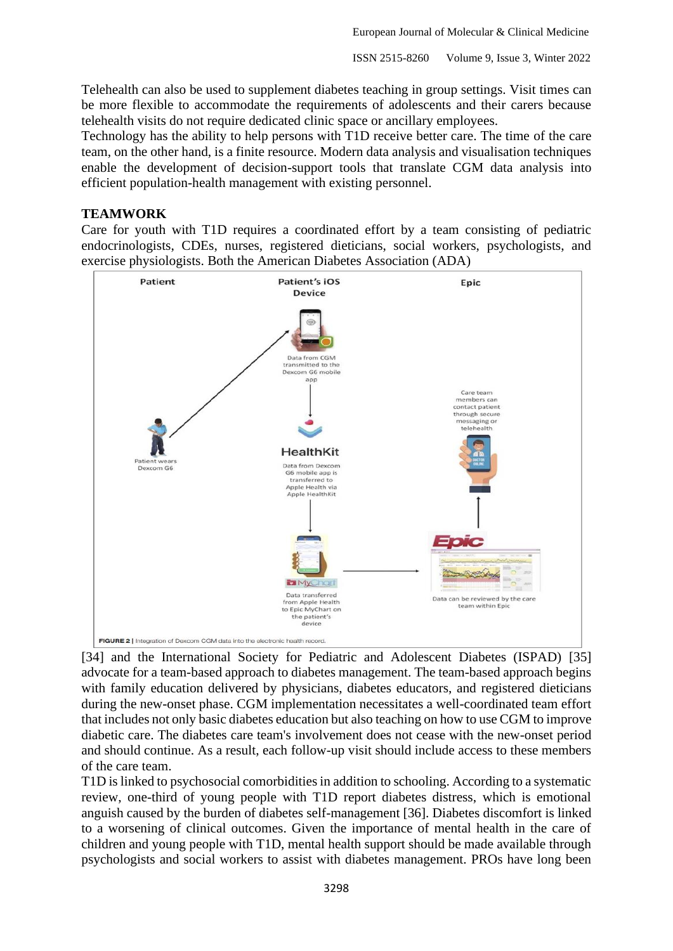Telehealth can also be used to supplement diabetes teaching in group settings. Visit times can be more flexible to accommodate the requirements of adolescents and their carers because telehealth visits do not require dedicated clinic space or ancillary employees.

Technology has the ability to help persons with T1D receive better care. The time of the care team, on the other hand, is a finite resource. Modern data analysis and visualisation techniques enable the development of decision-support tools that translate CGM data analysis into efficient population-health management with existing personnel.

### **TEAMWORK**

Care for youth with T1D requires a coordinated effort by a team consisting of pediatric endocrinologists, CDEs, nurses, registered dieticians, social workers, psychologists, and exercise physiologists. Both the American Diabetes Association (ADA)



[34] and the International Society for Pediatric and Adolescent Diabetes (ISPAD) [35] advocate for a team-based approach to diabetes management. The team-based approach begins with family education delivered by physicians, diabetes educators, and registered dieticians during the new-onset phase. CGM implementation necessitates a well-coordinated team effort that includes not only basic diabetes education but also teaching on how to use CGM to improve diabetic care. The diabetes care team's involvement does not cease with the new-onset period and should continue. As a result, each follow-up visit should include access to these members of the care team.

T1D is linked to psychosocial comorbidities in addition to schooling. According to a systematic review, one-third of young people with T1D report diabetes distress, which is emotional anguish caused by the burden of diabetes self-management [36]. Diabetes discomfort is linked to a worsening of clinical outcomes. Given the importance of mental health in the care of children and young people with T1D, mental health support should be made available through psychologists and social workers to assist with diabetes management. PROs have long been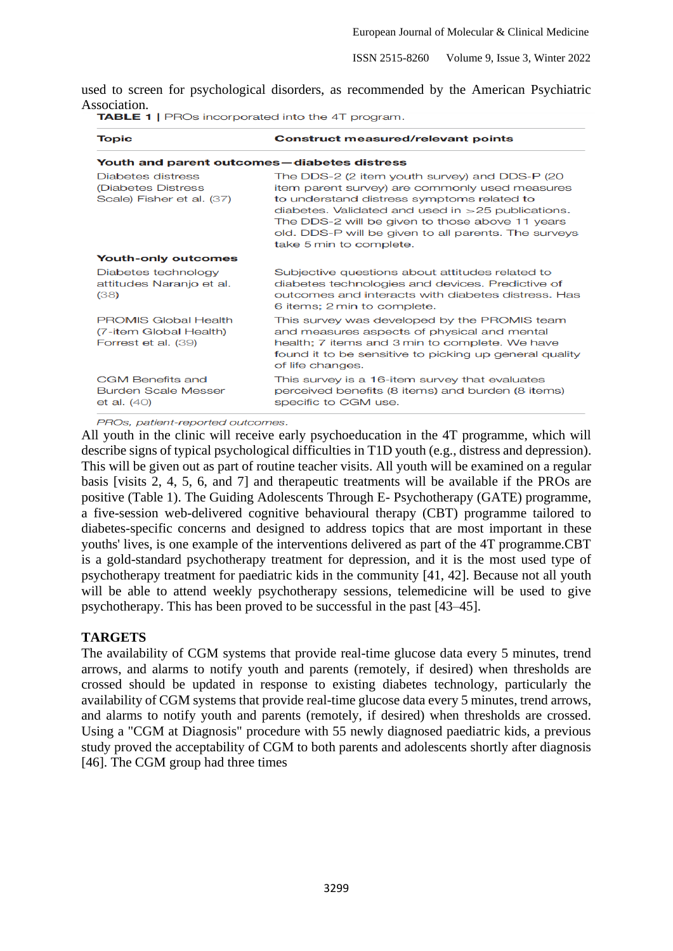used to screen for psychological disorders, as recommended by the American Psychiatric Association.<br>**TABLE 1** | PROs incorporated into the 4T program.

| <b>Topic</b>                                                                 | <b>Construct measured/relevant points</b>                                                                                                                                                                                                                                                                                                   |  |  |
|------------------------------------------------------------------------------|---------------------------------------------------------------------------------------------------------------------------------------------------------------------------------------------------------------------------------------------------------------------------------------------------------------------------------------------|--|--|
| Youth and parent outcomes-diabetes distress                                  |                                                                                                                                                                                                                                                                                                                                             |  |  |
| Diabetes distress<br>(Diabetes Distress<br>Scale) Fisher et al. (37)         | The DDS-2 (2 item youth survey) and DDS-P (20<br>item parent survey) are commonly used measures<br>to understand distress symptoms related to<br>diabetes. Validated and used in $>$ 25 publications.<br>The DDS-2 will be given to those above 11 years<br>old. DDS-P will be given to all parents. The surveys<br>take 5 min to complete. |  |  |
| <b>Youth-only outcomes</b>                                                   |                                                                                                                                                                                                                                                                                                                                             |  |  |
| Diabetes technology<br>attitudes Naranjo et al.<br>(38)                      | Subjective questions about attitudes related to<br>diabetes technologies and devices. Predictive of<br>outcomes and interacts with diabetes distress. Has<br>6 items; 2 min to complete.                                                                                                                                                    |  |  |
| <b>PROMIS Global Health</b><br>(7-item Global Health)<br>Forrest et al. (39) | This survey was developed by the PROMIS team<br>and measures aspects of physical and mental<br>health; 7 items and 3 min to complete. We have<br>found it to be sensitive to picking up general quality<br>of life changes.                                                                                                                 |  |  |
| <b>CGM Benefits and</b><br><b>Burden Scale Messer</b><br>et al. $(40)$       | This survey is a 16-item survey that evaluates<br>perceived benefits (8 items) and burden (8 items)<br>specific to CGM use.                                                                                                                                                                                                                 |  |  |

PROs, patient-reported outcomes.

All youth in the clinic will receive early psychoeducation in the 4T programme, which will describe signs of typical psychological difficulties in T1D youth (e.g., distress and depression). This will be given out as part of routine teacher visits. All youth will be examined on a regular basis [visits 2, 4, 5, 6, and 7] and therapeutic treatments will be available if the PROs are positive (Table 1). The Guiding Adolescents Through E- Psychotherapy (GATE) programme, a five-session web-delivered cognitive behavioural therapy (CBT) programme tailored to diabetes-specific concerns and designed to address topics that are most important in these youths' lives, is one example of the interventions delivered as part of the 4T programme.CBT is a gold-standard psychotherapy treatment for depression, and it is the most used type of psychotherapy treatment for paediatric kids in the community [41, 42]. Because not all youth will be able to attend weekly psychotherapy sessions, telemedicine will be used to give psychotherapy. This has been proved to be successful in the past [43–45].

### **TARGETS**

The availability of CGM systems that provide real-time glucose data every 5 minutes, trend arrows, and alarms to notify youth and parents (remotely, if desired) when thresholds are crossed should be updated in response to existing diabetes technology, particularly the availability of CGM systems that provide real-time glucose data every 5 minutes, trend arrows, and alarms to notify youth and parents (remotely, if desired) when thresholds are crossed. Using a "CGM at Diagnosis" procedure with 55 newly diagnosed paediatric kids, a previous study proved the acceptability of CGM to both parents and adolescents shortly after diagnosis [46]. The CGM group had three times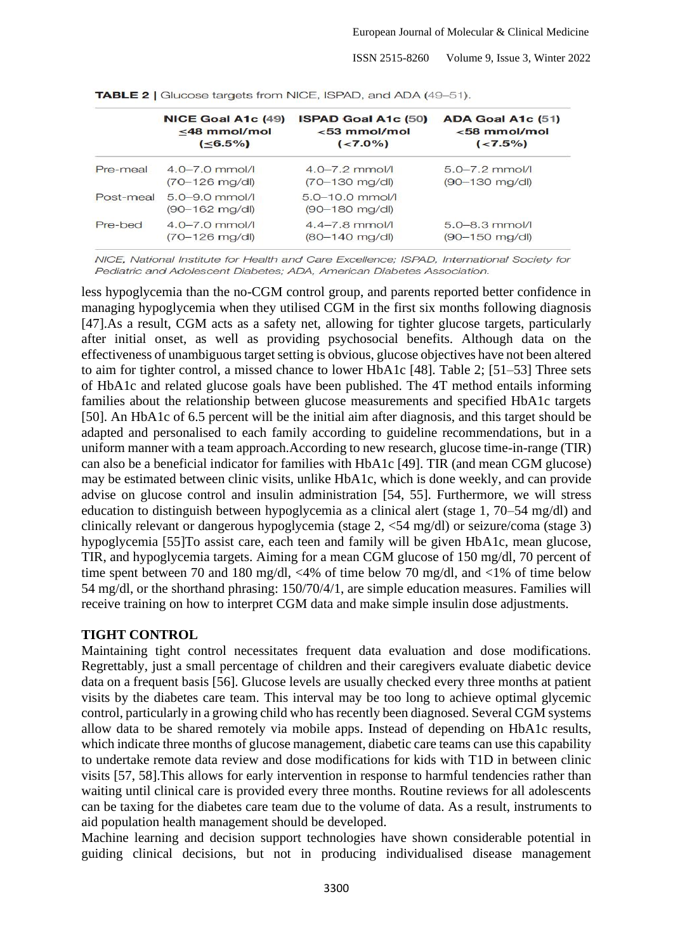|           | NICE Goal A1c (49)                              | <b>ISPAD Goal A1c (50)</b>                | ADA Goal A1c (51)  |
|-----------|-------------------------------------------------|-------------------------------------------|--------------------|
|           | $<$ 48 mmol/mol                                 | $<$ 53 mmol/mol                           | $< 58$ mmol/mol    |
|           | ( <b>6.5%</b> )                                 | ( <b>7.0%</b> )                           | $(< 7.5\%)$        |
| Pre-meal  | $4.0 - 7.0$ mmol/l                              | $4.0 - 7.2$ mmol/l                        | $5.0 - 7.2$ mmol/l |
|           | $(70 - 126 \text{ mg/dl})$                      | $(70 - 130 \text{ mg/d})$                 | $(90 - 130$ mg/dl) |
| Post-meal | $5.0 - 9.0$ mmol/l<br>$(90 - 162 \text{ mg/d})$ | $5.0 - 10.0$ mmol/l<br>$(90 - 180$ mg/dl) |                    |
| Pre-bed   | $4.0 - 7.0$ mmol/l                              | $4.4 - 7.8$ mmol/                         | $5.0 - 8.3$ mmol/  |
|           | $(70 - 126 \text{ mg/dl})$                      | $(80 - 140$ mg/dl)                        | $(90 - 150$ mg/dl) |

TABLE 2 | Glucose targets from NICE, ISPAD, and ADA (49-51).

NICE, National Institute for Health and Care Excellence; ISPAD, International Society for Pediatric and Adolescent Diabetes: ADA, American Diabetes Association.

less hypoglycemia than the no-CGM control group, and parents reported better confidence in managing hypoglycemia when they utilised CGM in the first six months following diagnosis [47].As a result, CGM acts as a safety net, allowing for tighter glucose targets, particularly after initial onset, as well as providing psychosocial benefits. Although data on the effectiveness of unambiguous target setting is obvious, glucose objectives have not been altered to aim for tighter control, a missed chance to lower HbA1c [48]. Table 2; [51–53] Three sets of HbA1c and related glucose goals have been published. The 4T method entails informing families about the relationship between glucose measurements and specified HbA1c targets [50]. An HbA1c of 6.5 percent will be the initial aim after diagnosis, and this target should be adapted and personalised to each family according to guideline recommendations, but in a uniform manner with a team approach.According to new research, glucose time-in-range (TIR) can also be a beneficial indicator for families with HbA1c [49]. TIR (and mean CGM glucose) may be estimated between clinic visits, unlike HbA1c, which is done weekly, and can provide advise on glucose control and insulin administration [54, 55]. Furthermore, we will stress education to distinguish between hypoglycemia as a clinical alert (stage 1, 70–54 mg/dl) and clinically relevant or dangerous hypoglycemia (stage 2, <54 mg/dl) or seizure/coma (stage 3) hypoglycemia [55]To assist care, each teen and family will be given HbA1c, mean glucose, TIR, and hypoglycemia targets. Aiming for a mean CGM glucose of 150 mg/dl, 70 percent of time spent between 70 and 180 mg/dl, <4% of time below 70 mg/dl, and <1% of time below 54 mg/dl, or the shorthand phrasing: 150/70/4/1, are simple education measures. Families will receive training on how to interpret CGM data and make simple insulin dose adjustments.

#### **TIGHT CONTROL**

Maintaining tight control necessitates frequent data evaluation and dose modifications. Regrettably, just a small percentage of children and their caregivers evaluate diabetic device data on a frequent basis [56]. Glucose levels are usually checked every three months at patient visits by the diabetes care team. This interval may be too long to achieve optimal glycemic control, particularly in a growing child who has recently been diagnosed. Several CGM systems allow data to be shared remotely via mobile apps. Instead of depending on HbA1c results, which indicate three months of glucose management, diabetic care teams can use this capability to undertake remote data review and dose modifications for kids with T1D in between clinic visits [57, 58].This allows for early intervention in response to harmful tendencies rather than waiting until clinical care is provided every three months. Routine reviews for all adolescents can be taxing for the diabetes care team due to the volume of data. As a result, instruments to aid population health management should be developed.

Machine learning and decision support technologies have shown considerable potential in guiding clinical decisions, but not in producing individualised disease management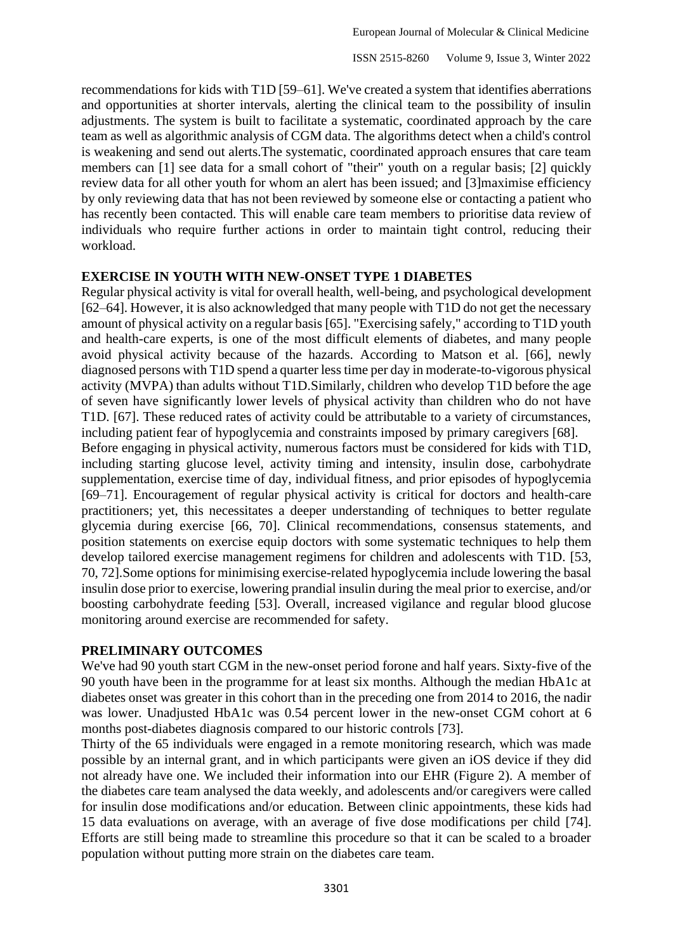recommendations for kids with T1D [59–61]. We've created a system that identifies aberrations and opportunities at shorter intervals, alerting the clinical team to the possibility of insulin adjustments. The system is built to facilitate a systematic, coordinated approach by the care team as well as algorithmic analysis of CGM data. The algorithms detect when a child's control is weakening and send out alerts.The systematic, coordinated approach ensures that care team members can [1] see data for a small cohort of "their" youth on a regular basis; [2] quickly review data for all other youth for whom an alert has been issued; and [3]maximise efficiency by only reviewing data that has not been reviewed by someone else or contacting a patient who has recently been contacted. This will enable care team members to prioritise data review of individuals who require further actions in order to maintain tight control, reducing their workload.

### **EXERCISE IN YOUTH WITH NEW-ONSET TYPE 1 DIABETES**

Regular physical activity is vital for overall health, well-being, and psychological development [62–64]. However, it is also acknowledged that many people with T1D do not get the necessary amount of physical activity on a regular basis [65]. "Exercising safely," according to T1D youth and health-care experts, is one of the most difficult elements of diabetes, and many people avoid physical activity because of the hazards. According to Matson et al. [66], newly diagnosed persons with T1D spend a quarter less time per day in moderate-to-vigorous physical activity (MVPA) than adults without T1D.Similarly, children who develop T1D before the age of seven have significantly lower levels of physical activity than children who do not have T1D. [67]. These reduced rates of activity could be attributable to a variety of circumstances, including patient fear of hypoglycemia and constraints imposed by primary caregivers [68].

Before engaging in physical activity, numerous factors must be considered for kids with T1D, including starting glucose level, activity timing and intensity, insulin dose, carbohydrate supplementation, exercise time of day, individual fitness, and prior episodes of hypoglycemia [69–71]. Encouragement of regular physical activity is critical for doctors and health-care practitioners; yet, this necessitates a deeper understanding of techniques to better regulate glycemia during exercise [66, 70]. Clinical recommendations, consensus statements, and position statements on exercise equip doctors with some systematic techniques to help them develop tailored exercise management regimens for children and adolescents with T1D. [53, 70, 72].Some options for minimising exercise-related hypoglycemia include lowering the basal insulin dose prior to exercise, lowering prandial insulin during the meal prior to exercise, and/or boosting carbohydrate feeding [53]. Overall, increased vigilance and regular blood glucose monitoring around exercise are recommended for safety.

### **PRELIMINARY OUTCOMES**

We've had 90 youth start CGM in the new-onset period forone and half years. Sixty-five of the 90 youth have been in the programme for at least six months. Although the median HbA1c at diabetes onset was greater in this cohort than in the preceding one from 2014 to 2016, the nadir was lower. Unadjusted HbA1c was 0.54 percent lower in the new-onset CGM cohort at 6 months post-diabetes diagnosis compared to our historic controls [73].

Thirty of the 65 individuals were engaged in a remote monitoring research, which was made possible by an internal grant, and in which participants were given an iOS device if they did not already have one. We included their information into our EHR (Figure 2). A member of the diabetes care team analysed the data weekly, and adolescents and/or caregivers were called for insulin dose modifications and/or education. Between clinic appointments, these kids had 15 data evaluations on average, with an average of five dose modifications per child [74]. Efforts are still being made to streamline this procedure so that it can be scaled to a broader population without putting more strain on the diabetes care team.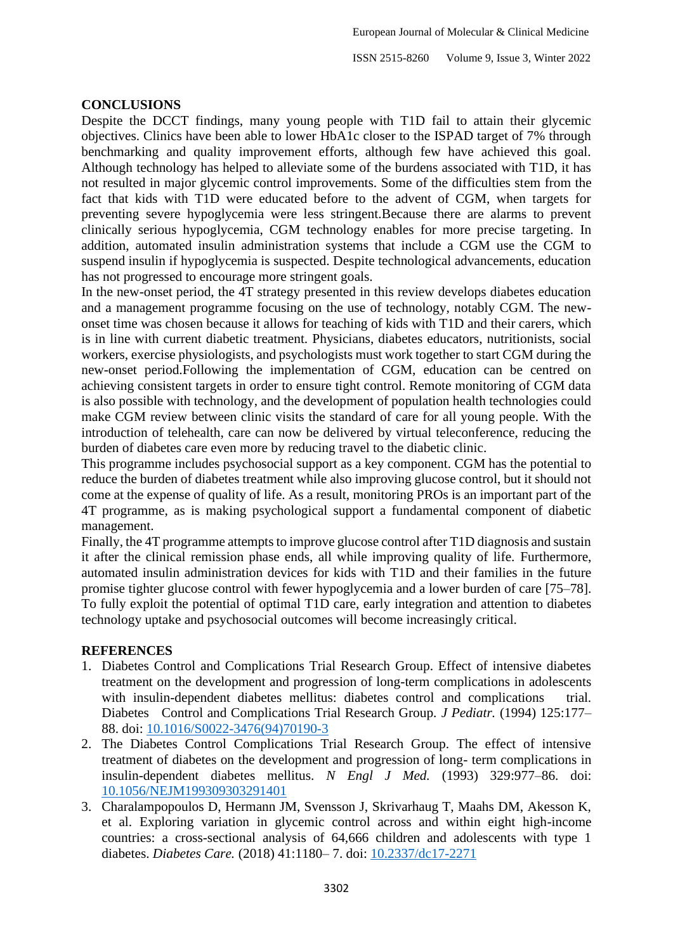### **CONCLUSIONS**

Despite the DCCT findings, many young people with T1D fail to attain their glycemic objectives. Clinics have been able to lower HbA1c closer to the ISPAD target of 7% through benchmarking and quality improvement efforts, although few have achieved this goal. Although technology has helped to alleviate some of the burdens associated with T1D, it has not resulted in major glycemic control improvements. Some of the difficulties stem from the fact that kids with T1D were educated before to the advent of CGM, when targets for preventing severe hypoglycemia were less stringent.Because there are alarms to prevent clinically serious hypoglycemia, CGM technology enables for more precise targeting. In addition, automated insulin administration systems that include a CGM use the CGM to suspend insulin if hypoglycemia is suspected. Despite technological advancements, education has not progressed to encourage more stringent goals.

In the new-onset period, the 4T strategy presented in this review develops diabetes education and a management programme focusing on the use of technology, notably CGM. The newonset time was chosen because it allows for teaching of kids with T1D and their carers, which is in line with current diabetic treatment. Physicians, diabetes educators, nutritionists, social workers, exercise physiologists, and psychologists must work together to start CGM during the new-onset period.Following the implementation of CGM, education can be centred on achieving consistent targets in order to ensure tight control. Remote monitoring of CGM data is also possible with technology, and the development of population health technologies could make CGM review between clinic visits the standard of care for all young people. With the introduction of telehealth, care can now be delivered by virtual teleconference, reducing the burden of diabetes care even more by reducing travel to the diabetic clinic.

This programme includes psychosocial support as a key component. CGM has the potential to reduce the burden of diabetes treatment while also improving glucose control, but it should not come at the expense of quality of life. As a result, monitoring PROs is an important part of the 4T programme, as is making psychological support a fundamental component of diabetic management.

Finally, the 4T programme attempts to improve glucose control after T1D diagnosis and sustain it after the clinical remission phase ends, all while improving quality of life. Furthermore, automated insulin administration devices for kids with T1D and their families in the future promise tighter glucose control with fewer hypoglycemia and a lower burden of care [75–78]. To fully exploit the potential of optimal T1D care, early integration and attention to diabetes technology uptake and psychosocial outcomes will become increasingly critical.

### **REFERENCES**

- 1. Diabetes Control and Complications Trial Research Group. Effect of intensive diabetes treatment on the development and progression of long-term complications in adolescents with insulin-dependent diabetes mellitus: diabetes control and complications trial. Diabetes Control and Complications Trial Research Group*. J Pediatr.* (1994) 125:177– 88. doi: [10.1016/S0022-3476\(94\)70190-3](https://doi.org/10.1016/S0022-3476(94)70190-3)
- 2. The Diabetes Control Complications Trial Research Group. The effect of intensive treatment of diabetes on the development and progression of long- term complications in insulin-dependent diabetes mellitus. *N Engl J Med.* (1993) 329:977–86. doi: [10.1056/NEJM199309303291401](https://doi.org/10.1056/NEJM199309303291401~)
- 3. Charalampopoulos D, Hermann JM, Svensson J, Skrivarhaug T, Maahs DM, Akesson K, et al. Exploring variation in glycemic control across and within eight high-income countries: a cross-sectional analysis of 64,666 children and adolescents with type 1 diabetes. *Diabetes Care.* (2018) 41:1180– 7. doi: [10.2337/dc17-2271](https://doi.org/10.2337/dc17-2271)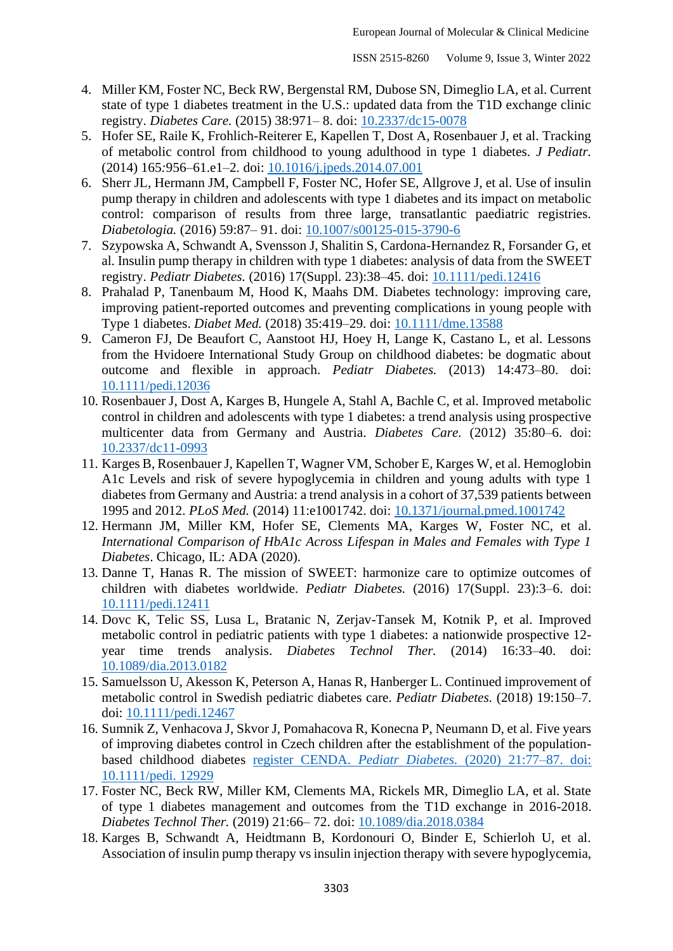- 4. Miller KM, Foster NC, Beck RW, Bergenstal RM, Dubose SN, Dimeglio LA, et al. Current state of type 1 diabetes treatment in the U.S.: updated data from the T1D exchange clinic registry. *Diabetes Care.* (2015) 38:971– 8. doi: [10.2337/dc15-0078](https://doi.org/10.2337/dc15-0078)
- 5. Hofer SE, Raile K, Frohlich-Reiterer E, Kapellen T, Dost A, Rosenbauer J, et al. Tracking of metabolic control from childhood to young adulthood in type 1 diabetes. *J Pediatr.*  (2014) 165*:*956–61.e1–2. doi: [10.1016/j.jpeds.2014.07.001](https://doi.org/10.1016/j.jpeds.2014.07.001)
- 6. Sherr JL, Hermann JM, Campbell F, Foster NC, Hofer SE, Allgrove J, et al. Use of insulin pump therapy in children and adolescents with type 1 diabetes and its impact on metabolic control: comparison of results from three large, transatlantic paediatric registries. *Diabetologia.* (2016) 59:87– 91. doi: [10.1007/s00125-015-3790-6](https://doi.org/10.1007/s00125-015-3790-6)
- 7. Szypowska A, Schwandt A, Svensson J, Shalitin S, Cardona-Hernandez R, Forsander G, et al. Insulin pump therapy in children with type 1 diabetes: analysis of data from the SWEET registry. *Pediatr Diabetes.* (2016) 17(Suppl. 23):38–45. doi: [10.1111/pedi.12416](https://doi.org/10.1111/pedi.12416)
- 8. Prahalad P, Tanenbaum M, Hood K, Maahs DM. Diabetes technology: improving care, improving patient-reported outcomes and preventing complications in young people with Type 1 diabetes. *Diabet Med.* (2018) 35:419–29. doi: [10.1111/dme.13588](https://doi.org/10.1111/dme.13588)
- 9. Cameron FJ, De Beaufort C, Aanstoot HJ, Hoey H, Lange K, Castano L, et al. Lessons from the Hvidoere International Study Group on childhood diabetes: be dogmatic about outcome and flexible in approach. *Pediatr Diabetes.* (2013) 14:473–80. doi: [10.1111/pedi.12036](https://doi.org/10.1111/pedi.12036)
- 10. Rosenbauer J, Dost A, Karges B, Hungele A, Stahl A, Bachle C, et al. Improved metabolic control in children and adolescents with type 1 diabetes: a trend analysis using prospective multicenter data from Germany and Austria. *Diabetes Care.* (2012) 35:80–6. doi: [10.2337/dc11-0993](https://doi.org/10.2337/dc11-0993)
- 11. Karges B, Rosenbauer J, Kapellen T, Wagner VM, Schober E, Karges W, et al. Hemoglobin A1c Levels and risk of severe hypoglycemia in children and young adults with type 1 diabetes from Germany and Austria: a trend analysis in a cohort of 37,539 patients between 1995 and 2012. *PLoS Med.* (2014) 11:e1001742. doi: [10.1371/journal.pmed.1001742](https://doi.org/10.1371/journal.pmed.1001742)
- 12. Hermann JM, Miller KM, Hofer SE, Clements MA, Karges W, Foster NC, et al. *International Comparison of HbA1c Across Lifespan in Males and Females with Type 1 Diabetes*. Chicago, IL: ADA (2020).
- 13. Danne T, Hanas R. The mission of SWEET: harmonize care to optimize outcomes of children with diabetes worldwide. *Pediatr Diabetes.* (2016) 17(Suppl. 23):3–6. doi: [10.1111/pedi.12411](https://doi.org/10.1111/pedi.12411)
- 14. Dovc K, Telic SS, Lusa L, Bratanic N, Zerjav-Tansek M, Kotnik P, et al. Improved metabolic control in pediatric patients with type 1 diabetes: a nationwide prospective 12 year time trends analysis. *Diabetes Technol Ther.* (2014) 16:33–40. doi: [10.1089/dia.2013.0182](https://doi.org/10.1089/dia.2013.0182)
- 15. Samuelsson U, Akesson K, Peterson A, Hanas R, Hanberger L. Continued improvement of metabolic control in Swedish pediatric diabetes care. *Pediatr Diabetes.* (2018) 19:150–7. doi: [10.1111/pedi.12467](https://doi.org/10.1111/pedi.12467)
- 16. Sumnik Z, Venhacova J, Skvor J, Pomahacova R, Konecna P, Neumann D, et al. Five years of improving diabetes control in Czech children after the establishment of the populationbased childhood diabetes register CENDA. *Pediatr Diabetes.* [\(2020\) 21:77–87. doi:](https://doi.org/10.1111/pedi.12929)  [10.1111/pedi. 12929](https://doi.org/10.1111/pedi.12929)
- 17. Foster NC, Beck RW, Miller KM, Clements MA, Rickels MR, Dimeglio LA, et al. State of type 1 diabetes management and outcomes from the T1D exchange in 2016-2018. *Diabetes Technol Ther.* (2019) 21:66– 72. doi: [10.1089/dia.2018.0384](https://doi.org/10.1089/dia.2018.0384)
- 18. Karges B, Schwandt A, Heidtmann B, Kordonouri O, Binder E, Schierloh U, et al. Association of insulin pump therapy vs insulin injection therapy with severe hypoglycemia,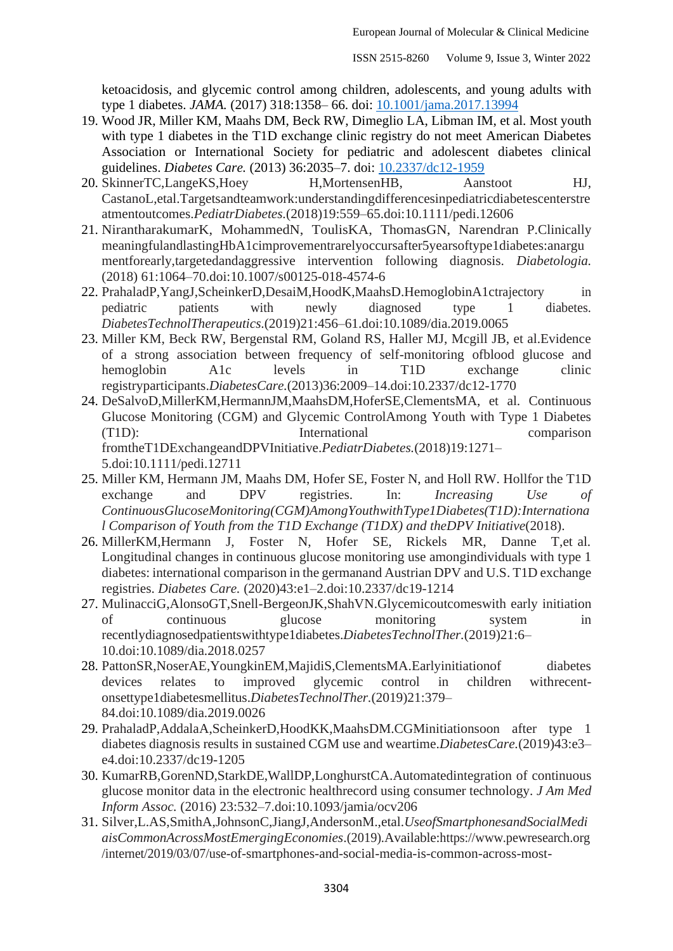ketoacidosis, and glycemic control among children, adolescents, and young adults with type 1 diabetes. *JAMA.* (2017) 318:1358– 66. doi: [10.1001/jama.2017.13994](https://doi.org/10.1001/jama.2017.13994)

- 19. Wood JR, Miller KM, Maahs DM, Beck RW, Dimeglio LA, Libman IM, et al. Most youth with type 1 diabetes in the T1D exchange clinic registry do not meet American Diabetes Association or International Society for pediatric and adolescent diabetes clinical guidelines. *Diabetes Care.* (2013) 36:2035–7. doi: [10.2337/dc12-1959](https://doi.org/10.2337/dc12-1959)
- 20. SkinnerTC,LangeKS,Hoey H,MortensenHB, Aanstoot HJ, CastanoL,etal.Targetsandteamwork:understandingdifferencesinpediatricdiabetescenterstre atmentoutcomes.*PediatrDiabetes.*(2018)19:559–65.doi[:10.1111/pedi.12606](https://doi.org/10.1111/pedi.12606)
- 21. NirantharakumarK, MohammedN, ToulisKA, ThomasGN, Narendran P.Clinically meaningfulandlastingHbA1cimprovementrarelyoccursafter5yearsoftype1diabetes:anargu mentforearly,targetedandaggressive intervention following diagnosis. *Diabetologia.*  (2018) 61:1064–70.doi[:10.1007/s00125-018-4574-6](https://doi.org/10.1007/s00125-018-4574-6)
- 22. PrahaladP, YangJ, ScheinkerD, DesaiM, HoodK, MaahsD, HemoglobinA1ctrajectory in pediatric patients with newly diagnosed type 1 diabetes. *DiabetesTechnolTherapeutics*.(2019)21:456–61.doi[:10.1089/dia.2019.0065](https://doi.org/10.1089/dia.2019.0065)
- 23. Miller KM, Beck RW, Bergenstal RM, Goland RS, Haller MJ, Mcgill JB, et al.Evidence of a strong association between frequency of self-monitoring ofblood glucose and hemoglobin A1c levels in T1D exchange clinic registryparticipants.*DiabetesCare.*(2013)36:2009–14.doi[:10.2337/dc12-1770](https://doi.org/10.2337/dc12-1770)
- 24. DeSalvoD,MillerKM,HermannJM,MaahsDM,HoferSE,ClementsMA, et al. Continuous Glucose Monitoring (CGM) and Glycemic ControlAmong Youth with Type 1 Diabetes (T1D): International comparison fromtheT1DExchangeandDPVInitiative.*PediatrDiabetes.*(2018)19:1271– 5.doi[:10.1111/pedi.12711](https://doi.org/10.1111/pedi.12711)
- 25. Miller KM, Hermann JM, Maahs DM, Hofer SE, Foster N, and Holl RW. Hollfor the T1D exchange and DPV registries. In: *Increasing Use of ContinuousGlucoseMonitoring(CGM)AmongYouthwithType1Diabetes(T1D):Internationa l Comparison of Youth from the T1D Exchange (T1DX) and theDPV Initiative*(2018).
- 26. MillerKM,Hermann J, Foster N, Hofer SE, Rickels MR, Danne T,et al. Longitudinal changes in continuous glucose monitoring use amongindividuals with type 1 diabetes: international comparison in the germanand Austrian DPV and U.S. T1D exchange registries. *Diabetes Care.* (2020)43:e1–2.doi[:10.2337/dc19-1214](https://doi.org/10.2337/dc19-1214)
- 27. MulinacciG,AlonsoGT,Snell-BergeonJK,ShahVN.Glycemicoutcomeswith early initiation of continuous glucose monitoring system in recentlydiagnosedpatientswithtype1diabetes.*DiabetesTechnolTher.*(2019)21:6– 10.doi[:10.1089/dia.2018.0257](https://doi.org/10.1089/dia.2018.0257)
- 28. PattonSR,NoserAE,YoungkinEM,MajidiS,ClementsMA.Earlyinitiationof diabetes devices relates to improved glycemic control in children withrecentonsettype1diabetesmellitus.*DiabetesTechnolTher.*(2019)21:379– 84.doi[:10.1089/dia.2019.0026](https://doi.org/10.1089/dia.2019.0026)
- 29. PrahaladP,AddalaA,ScheinkerD,HoodKK,MaahsDM.CGMinitiationsoon after type 1 diabetes diagnosis results in sustained CGM use and weartime.*DiabetesCare.*(2019)43:e3– e4.doi[:10.2337/dc19-1205](https://doi.org/10.2337/dc19-1205)
- 30. KumarRB,GorenND,StarkDE,WallDP,LonghurstCA.Automatedintegration of continuous glucose monitor data in the electronic healthrecord using consumer technology. *J Am Med Inform Assoc.* (2016) 23:532–7.doi[:10.1093/jamia/ocv206](https://doi.org/10.1093/jamia/ocv206)
- 31. Silver,L.AS,SmithA,JohnsonC,JiangJ,AndersonM.,etal.*UseofSmartphonesandSocialMedi aisCommonAcrossMostEmergingEconomies*.(2019).Available[:https://www.pewresearch.org](https://www.pewresearch.org/internet/2019/03/07/use-of-smartphones-and-social-media-is-common-across-most-emerging-economies/) [/internet/2019/03/07/use-of-smartphones-and-social-media-is-common-across-most-](https://www.pewresearch.org/internet/2019/03/07/use-of-smartphones-and-social-media-is-common-across-most-emerging-economies/)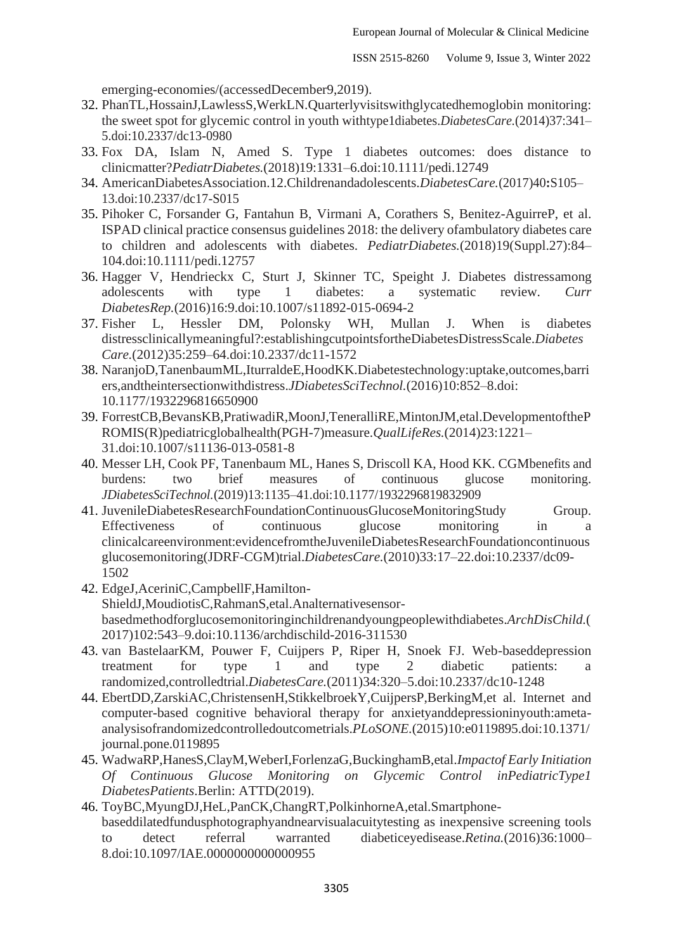[emerging-economies/\(](https://www.pewresearch.org/internet/2019/03/07/use-of-smartphones-and-social-media-is-common-across-most-emerging-economies/)accessedDecember9,2019).

- 32. PhanTL,HossainJ,LawlessS,WerkLN.Quarterlyvisitswithglycatedhemoglobin monitoring: the sweet spot for glycemic control in youth withtype1diabetes.*DiabetesCare.*(2014)37:341– 5.doi[:10.2337/dc13-0980](https://doi.org/10.2337/dc13-0980)
- 33. Fox DA, Islam N, Amed S. Type 1 diabetes outcomes: does distance to clinicmatter?*PediatrDiabetes.*(2018)19:1331–6.doi[:10.1111/pedi.12749](https://doi.org/10.1111/pedi.12749)
- 34. AmericanDiabetesAssociation.12.Childrenandadolescents.*DiabetesCare.*(2017)40**:**S105– 13.doi[:10.2337/dc17-S015](https://doi.org/10.2337/dc17-S015)
- 35. Pihoker C, Forsander G, Fantahun B, Virmani A, Corathers S, Benitez-AguirreP, et al. ISPAD clinical practice consensus guidelines 2018: the delivery ofambulatory diabetes care to children and adolescents with diabetes. *PediatrDiabetes.*(2018)19(Suppl.27):84– 104.doi[:10.1111/pedi.12757](https://doi.org/10.1111/pedi.12757)
- 36. Hagger V, Hendrieckx C, Sturt J, Skinner TC, Speight J. Diabetes distressamong adolescents with type 1 diabetes: a systematic review. *Curr DiabetesRep.*(2016)16:9.doi[:10.1007/s11892-015-0694-2](https://doi.org/10.1007/s11892-015-0694-2)
- 37. Fisher L, Hessler DM, Polonsky WH, Mullan J. When is diabetes distressclinicallymeaningful?:establishingcutpointsfortheDiabetesDistressScale.*Diabetes Care.*(2012)35:259–64.doi[:10.2337/dc11-1572](https://doi.org/10.2337/dc11-1572)
- 38. NaranjoD,TanenbaumML,IturraldeE,HoodKK.Diabetestechnology:uptake,outcomes,barri ers,andtheintersectionwithdistress.*JDiabetesSciTechnol.*[\(2016\)10:852–8.doi:](https://doi.org/10.1177/1932296816650900)  [10.1177/1932296816650900](https://doi.org/10.1177/1932296816650900)
- 39. ForrestCB,BevansKB,PratiwadiR,MoonJ,TeneralliRE,MintonJM,etal.DevelopmentoftheP ROMIS(R)pediatricglobalhealth(PGH-7)measure.*QualLifeRes.*[\(2014\)23:1221–](https://doi.org/10.1007/s11136-013-0581-8) [31.doi:10.1007/s11136-013-0581-8](https://doi.org/10.1007/s11136-013-0581-8)
- 40. Messer LH, Cook PF, Tanenbaum ML, Hanes S, Driscoll KA, Hood KK. CGMbenefits and burdens: two brief measures of continuous glucose monitoring. *JDiabetesSciTechnol.*(2019)13:1135–41.doi[:10.1177/1932296819832909](https://doi.org/10.1177/1932296819832909)
- 41. JuvenileDiabetesResearchFoundationContinuousGlucoseMonitoringStudy Group. Effectiveness of continuous glucose monitoring in a clinicalcareenvironment:evidencefromtheJuvenileDiabetesResearchFoundationcontinuous glucosemonitoring(JDRF-CGM)trial.*DiabetesCare.*(2010)33:17–22.doi[:10.2337/dc09-](https://doi.org/10.2337/dc09-1502) [1502](https://doi.org/10.2337/dc09-1502)
- 42. EdgeJ,AceriniC,CampbellF,Hamilton-ShieldJ,MoudiotisC,RahmanS,etal.Analternativesensorbasedmethodforglucosemonitoringinchildrenandyoungpeoplewithdiabetes.*ArchDisChild.*( 2017)102:543–9.doi[:10.1136/archdischild-2016-311530](https://doi.org/10.1136/archdischild-2016-311530)
- 43. van BastelaarKM, Pouwer F, Cuijpers P, Riper H, Snoek FJ. Web-baseddepression treatment for type 1 and type 2 diabetic patients: a randomized,controlledtrial.*DiabetesCare.*(2011)34:320–5.doi[:10.2337/dc10-1248](https://doi.org/10.2337/dc10-1248)
- 44. EbertDD,ZarskiAC,ChristensenH,StikkelbroekY,CuijpersP,BerkingM,et al. Internet and computer-based cognitive behavioral therapy for anxietyanddepressioninyouth:ametaanalysisofrandomizedcontrolledoutcometrials.*PLoSONE.*(2015)10:e0119895.doi[:10.1371/](https://doi.org/10.1371/journal.pone.0119895) [journal.pone.0119895](https://doi.org/10.1371/journal.pone.0119895)
- 45. WadwaRP,HanesS,ClayM,WeberI,ForlenzaG,BuckinghamB,etal.*Impactof Early Initiation Of Continuous Glucose Monitoring on Glycemic Control inPediatricType1 DiabetesPatients*.Berlin: ATTD(2019).
- 46. ToyBC,MyungDJ,HeL,PanCK,ChangRT,PolkinhorneA,etal.Smartphonebaseddilatedfundusphotographyandnearvisualacuitytesting as inexpensive screening tools to detect referral warranted diabeticeyedisease.*Retina.*[\(2016\)36:1000–](https://doi.org/10.1097/IAE.0000000000000955) [8.doi:10.1097/IAE.0000000000000955](https://doi.org/10.1097/IAE.0000000000000955)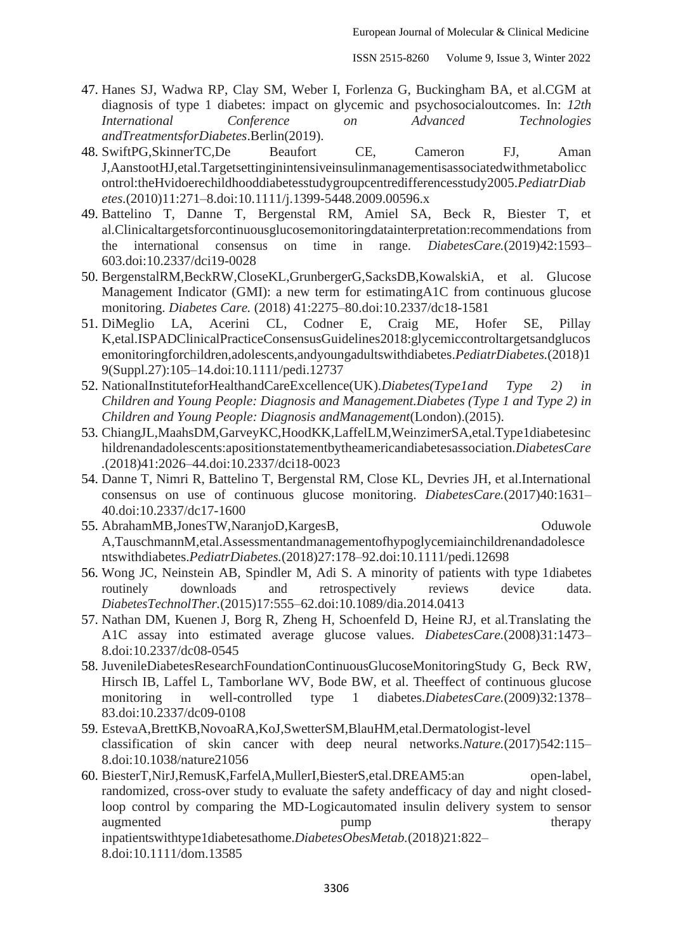- 47. Hanes SJ, Wadwa RP, Clay SM, Weber I, Forlenza G, Buckingham BA, et al.CGM at diagnosis of type 1 diabetes: impact on glycemic and psychosocialoutcomes. In: *12th International Conference on Advanced Technologies andTreatmentsforDiabetes*.Berlin(2019).
- 48. SwiftPG,SkinnerTC,De Beaufort CE, Cameron FJ, Aman J,AanstootHJ,etal.Targetsettinginintensiveinsulinmanagementisassociatedwithmetabolicc ontrol:theHvidoerechildhooddiabetesstudygroupcentredifferencesstudy2005.*PediatrDiab etes.*(2010)11:271–8.doi[:10.1111/j.1399-5448.2009.00596.x](https://doi.org/10.1111/j.1399-5448.2009.00596.x)
- 49. Battelino T, Danne T, Bergenstal RM, Amiel SA, Beck R, Biester T, et al.Clinicaltargetsforcontinuousglucosemonitoringdatainterpretation:recommendations from the international consensus on time in range. *DiabetesCare.*(2019)42:1593– 603.doi[:10.2337/dci19-0028](https://doi.org/10.2337/dci19-0028)
- 50. BergenstalRM,BeckRW,CloseKL,GrunbergerG,SacksDB,KowalskiA, et al. Glucose Management Indicator (GMI): a new term for estimatingA1C from continuous glucose monitoring. *Diabetes Care.* (2018) 41:2275–80.doi[:10.2337/dc18-1581](https://doi.org/10.2337/dc18-1581)
- 51. DiMeglio LA, Acerini CL, Codner E, Craig ME, Hofer SE, Pillay K,etal.ISPADClinicalPracticeConsensusGuidelines2018:glycemiccontroltargetsandglucos emonitoringforchildren,adolescents,andyoungadultswithdiabetes.*PediatrDiabetes.*(2018)1 9(Suppl.27):105–14.doi[:10.1111/pedi.12737](https://doi.org/10.1111/pedi.12737)
- 52. NationalInstituteforHealthandCareExcellence(UK).*Diabetes(Type1and Type 2) in Children and Young People: Diagnosis and Management.Diabetes (Type 1 and Type 2) in Children and Young People: Diagnosis andManagement*(London).(2015).
- 53. ChiangJL,MaahsDM,GarveyKC,HoodKK,LaffelLM,WeinzimerSA,etal.Type1diabetesinc hildrenandadolescents:apositionstatementbytheamericandiabetesassociation.*DiabetesCare .*(2018)41:2026–44.doi[:10.2337/dci18-0023](https://doi.org/10.2337/dci18-0023)
- 54. Danne T, Nimri R, Battelino T, Bergenstal RM, Close KL, Devries JH, et al.International consensus on use of continuous glucose monitoring. *DiabetesCare.*(2017)40:1631– 40.doi[:10.2337/dc17-1600](https://doi.org/10.2337/dc17-1600)
- 55. AbrahamMB,JonesTW,NaranjoD,KargesB, Oduwole A,TauschmannM,etal.Assessmentandmanagementofhypoglycemiainchildrenandadolesce ntswithdiabetes.*PediatrDiabetes.*(2018)27:178–92.doi[:10.1111/pedi.12698](https://doi.org/10.1111/pedi.12698)
- 56. Wong JC, Neinstein AB, Spindler M, Adi S. A minority of patients with type 1diabetes routinely downloads and retrospectively reviews device data. *DiabetesTechnolTher.*(2015)17:555–62.doi[:10.1089/dia.2014.0413](https://doi.org/10.1089/dia.2014.0413)
- 57. Nathan DM, Kuenen J, Borg R, Zheng H, Schoenfeld D, Heine RJ, et al.Translating the A1C assay into estimated average glucose values. *DiabetesCare.*(2008)31:1473– 8.doi[:10.2337/dc08-0545](https://doi.org/10.2337/dc08-0545)
- 58. JuvenileDiabetesResearchFoundationContinuousGlucoseMonitoringStudy G, Beck RW, Hirsch IB, Laffel L, Tamborlane WV, Bode BW, et al. Theeffect of continuous glucose monitoring in well-controlled type 1 diabetes.*DiabetesCare.*(2009)32:1378– 83.doi[:10.2337/dc09-0108](https://doi.org/10.2337/dc09-0108)
- 59. EstevaA,BrettKB,NovoaRA,KoJ,SwetterSM,BlauHM,etal.Dermatologist-level classification of skin cancer with deep neural networks.*Nature.*(2017)542:115– 8.doi[:10.1038/nature21056](https://doi.org/10.1038/nature21056)
- 60. BiesterT,NirJ,RemusK,FarfelA,MullerI,BiesterS,etal.DREAM5:an open-label, randomized, cross-over study to evaluate the safety andefficacy of day and night closedloop control by comparing the MD-Logicautomated insulin delivery system to sensor augmented pump therapy therapy inpatientswithtype1diabetesathome.*DiabetesObesMetab.*(2018)21:822– 8.doi[:10.1111/dom.13585](https://doi.org/10.1111/dom.13585)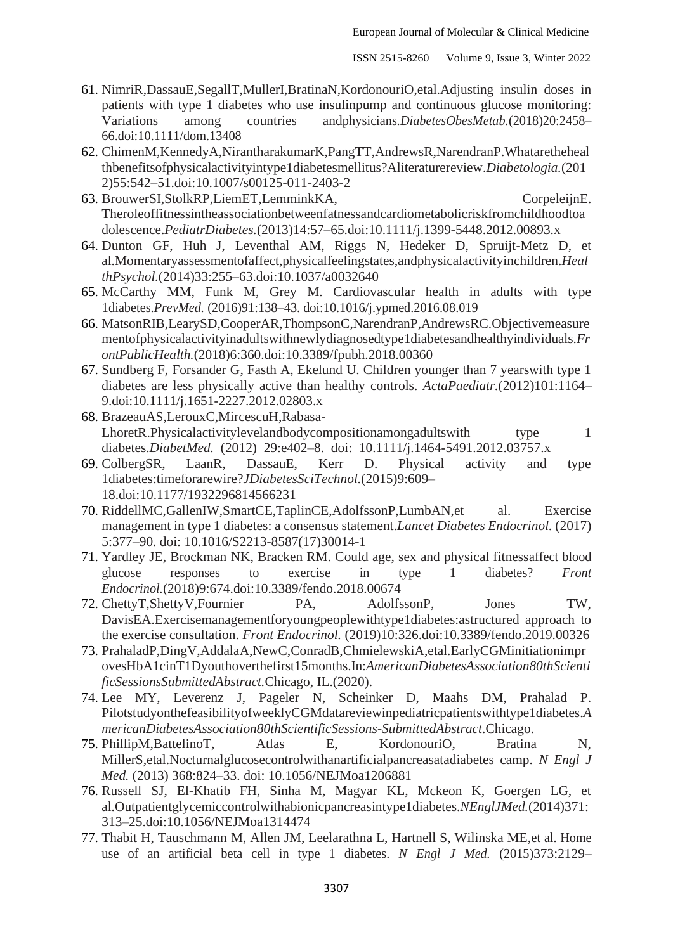- 61. NimriR,DassauE,SegallT,MullerI,BratinaN,KordonouriO,etal.Adjusting insulin doses in patients with type 1 diabetes who use insulinpump and continuous glucose monitoring: Variations among countries andphysicians.*DiabetesObesMetab.*(2018)20:2458– 66.doi[:10.1111/dom.13408](https://doi.org/10.1111/dom.13408)
- 62. ChimenM,KennedyA,NirantharakumarK,PangTT,AndrewsR,NarendranP.Whataretheheal thbenefitsofphysicalactivityintype1diabetesmellitus?Aliteraturereview.*Diabetologia.*(201 2)55:542–51.doi[:10.1007/s00125-011-2403-2](https://doi.org/10.1007/s00125-011-2403-2)
- 63. BrouwerSI,StolkRP,LiemET,LemminkKA, CorpeleijnE. Theroleoffitnessintheassociationbetweenfatnessandcardiometabolicriskfromchildhoodtoa dolescence.*PediatrDiabetes.*(2013)14:57–65.doi[:10.1111/j.1399-5448.2012.00893.x](https://doi.org/10.1111/j.1399-5448.2012.00893.x)
- 64. Dunton GF, Huh J, Leventhal AM, Riggs N, Hedeker D, Spruijt-Metz D, et al.Momentaryassessmentofaffect,physicalfeelingstates,andphysicalactivityinchildren.*Heal thPsychol.*(2014)33:255–63.doi[:10.1037/a0032640](https://doi.org/10.1037/a0032640)
- 65. McCarthy MM, Funk M, Grey M. Cardiovascular health in adults with type 1diabetes.*PrevMed.* (2016)91:138–43. doi[:10.1016/j.ypmed.2016.08.019](https://doi.org/10.1016/j.ypmed.2016.08.019)
- 66. MatsonRIB,LearySD,CooperAR,ThompsonC,NarendranP,AndrewsRC.Objectivemeasure mentofphysicalactivityinadultswithnewlydiagnosedtype1diabetesandhealthyindividuals.*Fr ontPublicHealth.*(2018)6:360.doi[:10.3389/fpubh.2018.00360](https://doi.org/10.3389/fpubh.2018.00360)
- 67. Sundberg F, Forsander G, Fasth A, Ekelund U. Children younger than 7 yearswith type 1 diabetes are less physically active than healthy controls. *ActaPaediatr.*(2012)101:1164– 9.doi[:10.1111/j.1651-2227.2012.02803.x](https://doi.org/10.1111/j.1651-2227.2012.02803.x)
- 68. BrazeauAS,LerouxC,MircescuH,Rabasa-LhoretR.Physicalactivitylevelandbodycompositionamongadultswith type 1 diabetes.*DiabetMed.* [\(2012\) 29:e402–8. doi: 10.1111/j.1464-5491.2012.03757.x](https://doi.org/10.1111/j.1464-5491.2012.03757.x)
- 69. ColbergSR, LaanR, DassauE, Kerr D. Physical activity and type 1diabetes:timeforarewire?*JDiabetesSciTechnol.*(2015)9:609– 18.doi[:10.1177/1932296814566231](https://doi.org/10.1177/1932296814566231)
- 70. RiddellMC,GallenIW,SmartCE,TaplinCE,AdolfssonP,LumbAN,et al. Exercise management in type 1 diabetes: a consensus statement.*[Lancet Diabetes Endocrinol.](https://doi.org/10.1016/S2213-8587(17)30014-1)* (2017) [5:377–90. doi: 10.1016/S2213-8587\(17\)30014-1](https://doi.org/10.1016/S2213-8587(17)30014-1)
- 71. Yardley JE, Brockman NK, Bracken RM. Could age, sex and physical fitnessaffect blood glucose responses to exercise in type 1 diabetes? *Front Endocrinol.*(2018)9:674.doi[:10.3389/fendo.2018.00674](https://doi.org/10.3389/fendo.2018.00674)
- 72. ChettyT,ShettyV,Fournier PA, AdolfssonP, Jones TW, DavisEA.Exercisemanagementforyoungpeoplewithtype1diabetes:astructured approach to the exercise consultation. *Front Endocrinol.* (2019)10:326.doi[:10.3389/fendo.2019.00326](https://doi.org/10.3389/fendo.2019.00326)
- 73. PrahaladP,DingV,AddalaA,NewC,ConradB,ChmielewskiA,etal.EarlyCGMinitiationimpr ovesHbA1cinT1Dyouthoverthefirst15months.In:*AmericanDiabetesAssociation80thScienti ficSessionsSubmittedAbstract.*Chicago, IL.(2020).
- 74. Lee MY, Leverenz J, Pageler N, Scheinker D, Maahs DM, Prahalad P. PilotstudyonthefeasibilityofweeklyCGMdatareviewinpediatricpatientswithtype1diabetes.*A mericanDiabetesAssociation80thScientificSessions-SubmittedAbstract*.Chicago.
- 75. PhillipM,BattelinoT, Atlas E, KordonouriO, Bratina N, MillerS,etal.Nocturnalglucosecontrolwithanartificialpancreasat[adiabetes camp.](https://doi.org/10.1056/NEJMoa1206881) *N Engl J Med.* [\(2013\) 368:824–33. doi: 10.1056/NEJMoa1206881](https://doi.org/10.1056/NEJMoa1206881)
- 76. Russell SJ, El-Khatib FH, Sinha M, Magyar KL, Mckeon K, Goergen LG, et al.Outpatientglycemiccontrolwithabionicpancreasintype1diabetes.*NEnglJMed.*(2014)371: 313–25.doi[:10.1056/NEJMoa1314474](https://doi.org/10.1056/NEJMoa1314474)
- 77. Thabit H, Tauschmann M, Allen JM, Leelarathna L, Hartnell S, Wilinska ME,et al. Home use of an artificial beta cell in type 1 diabetes. *N Engl J Med.* (2015)373:2129–